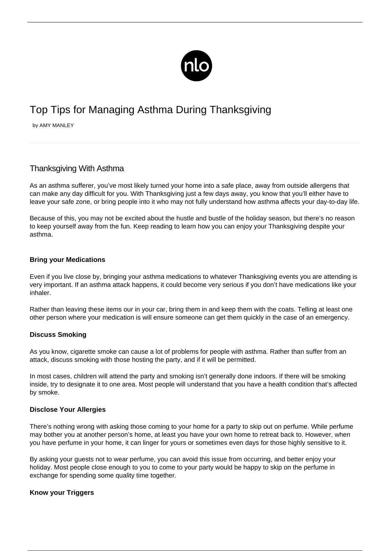

# Top Tips for Managing Asthma During Thanksgiving

by AMY MANLEY

# Thanksgiving With Asthma

As an asthma sufferer, you've most likely turned your home into a safe place, away from outside allergens that can make any day difficult for you. With Thanksgiving just a few days away, you know that you'll either have to leave your safe zone, or bring people into it who may not fully understand how asthma affects your day-to-day life.

Because of this, you may not be excited about the hustle and bustle of the holiday season, but there's no reason to keep yourself away from the fun. Keep reading to learn how you can enjoy your Thanksgiving despite your asthma.

#### **Bring your Medications**

Even if you live close by, bringing your asthma medications to whatever Thanksgiving events you are attending is very important. If an [asthma attack](/avoiding-asthma-attacks/) happens, it could become very serious if you don't have medications like your inhaler.

Rather than leaving these items our in your car, bring them in and keep them with the coats. Telling at least one other person where your medication is will ensure someone can get them quickly in the case of an emergency.

#### **Discuss Smoking**

As you know, cigarette smoke can cause a lot of problems for people with asthma. Rather than suffer from an attack, discuss smoking with those hosting the party, and if it will be permitted.

In most cases, children will attend the party and smoking isn't generally done indoors. If there will be smoking inside, try to designate it to one area. Most people will understand that you have a health condition that's affected by smoke.

#### **Disclose Your Allergies**

There's nothing wrong with asking those coming to your home for a party to skip out on perfume. While perfume may bother you at another person's home, at least you have your own home to retreat back to. However, when you have perfume in your home, it can linger for yours or sometimes even days for those highly sensitive to it.

By asking your guests not to wear perfume, you can avoid this issue from occurring, and better enjoy your holiday. Most people close enough to you to come to your party would be happy to skip on the perfume in exchange for spending some quality time together.

### **Know your Triggers**